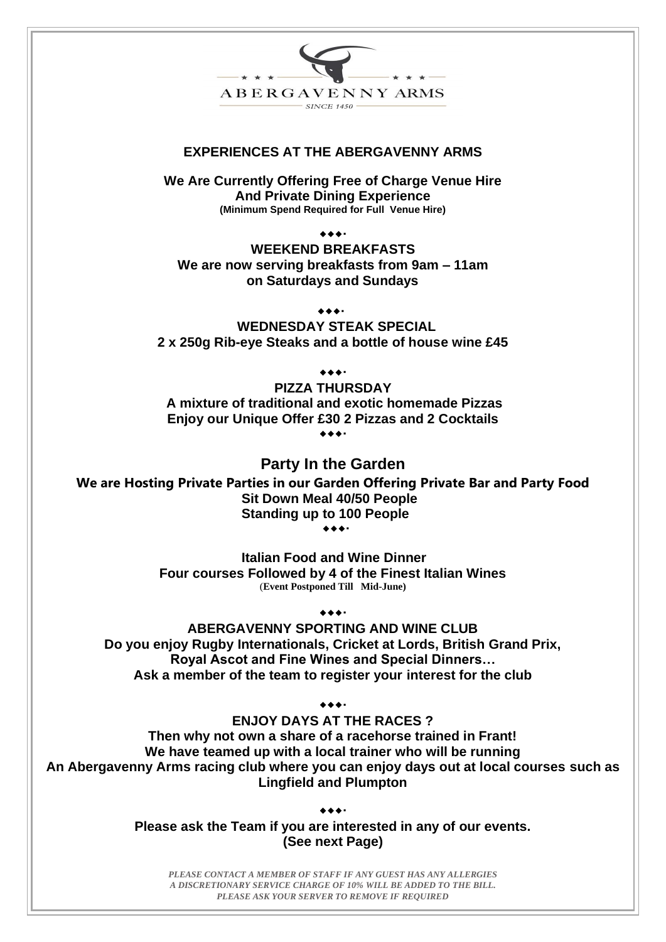

# **EXPERIENCES AT THE ABERGAVENNY ARMS**

**We Are Currently Offering Free of Charge Venue Hire And Private Dining Experience (Minimum Spend Required for Full Venue Hire)**

 $\bullet\bullet\bullet\bullet$ 

**WEEKEND BREAKFASTS We are now serving breakfasts from 9am – 11am on Saturdays and Sundays**

 $\bullet\bullet\bullet\bullet$ 

**WEDNESDAY STEAK SPECIAL 2 x 250g Rib-eye Steaks and a bottle of house wine £45**

 $\bullet\bullet\bullet\bullet$ 

**PIZZA THURSDAY A mixture of traditional and exotic homemade Pizzas Enjoy our Unique Offer £30 2 Pizzas and 2 Cocktails**  $\begin{array}{ccccc}\n\bullet & \bullet & \bullet & \bullet & \bullet & \bullet & \bullet & \bullet & \bullet\end{array}$ 

**Party In the Garden We are Hosting Private Parties in our Garden Offering Private Bar and Party Food Sit Down Meal 40/50 People Standing up to 100 People**

 $\bigtriangledown$ 

**Italian Food and Wine Dinner Four courses Followed by 4 of the Finest Italian Wines** (**Event Postponed Till Mid-June)**

 $\bullet\bullet\bullet\bullet$ 

**ABERGAVENNY SPORTING AND WINE CLUB Do you enjoy Rugby Internationals, Cricket at Lords, British Grand Prix, Royal Ascot and Fine Wines and Special Dinners… Ask a member of the team to register your interest for the club**

 $\bullet\bullet\bullet\bullet$ 

**ENJOY DAYS AT THE RACES ? Then why not own a share of a racehorse trained in Frant! We have teamed up with a local trainer who will be running An Abergavenny Arms racing club where you can enjoy days out at local courses such as** 

**Lingfield and Plumpton**

 $\bullet\bullet\bullet\texttt{!}$ 

**Please ask the Team if you are interested in any of our events. (See next Page)**

*PLEASE CONTACT A MEMBER OF STAFF IF ANY GUEST HAS ANY ALLERGIES A DISCRETIONARY SERVICE CHARGE OF 10% WILL BE ADDED TO THE BILL. PLEASE ASK YOUR SERVER TO REMOVE IF REQUIRED*